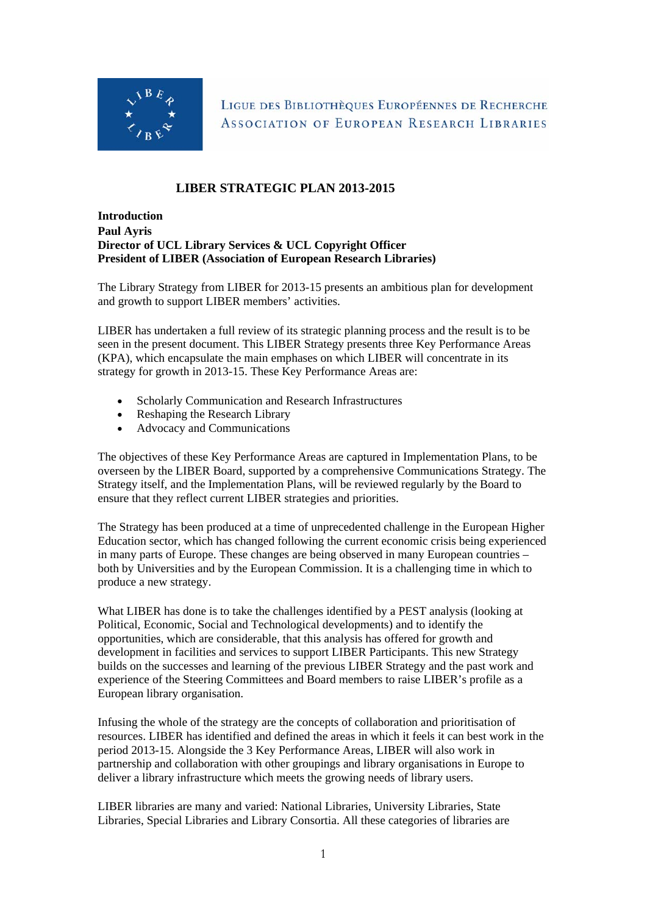

LIGUE DES BIBLIOTHÈQUES EUROPÉENNES DE RECHERCHE ASSOCIATION OF EUROPEAN RESEARCH LIBRARIES

# **LIBER STRATEGIC PLAN 2013-2015**

### **Introduction Paul Ayris Director of UCL Library Services & UCL Copyright Officer President of LIBER (Association of European Research Libraries)**

The Library Strategy from LIBER for 2013-15 presents an ambitious plan for development and growth to support LIBER members' activities.

LIBER has undertaken a full review of its strategic planning process and the result is to be seen in the present document. This LIBER Strategy presents three Key Performance Areas (KPA), which encapsulate the main emphases on which LIBER will concentrate in its strategy for growth in 2013-15. These Key Performance Areas are:

- Scholarly Communication and Research Infrastructures
- Reshaping the Research Library
- Advocacy and Communications

The objectives of these Key Performance Areas are captured in Implementation Plans, to be overseen by the LIBER Board, supported by a comprehensive Communications Strategy. The Strategy itself, and the Implementation Plans, will be reviewed regularly by the Board to ensure that they reflect current LIBER strategies and priorities.

The Strategy has been produced at a time of unprecedented challenge in the European Higher Education sector, which has changed following the current economic crisis being experienced in many parts of Europe. These changes are being observed in many European countries – both by Universities and by the European Commission. It is a challenging time in which to produce a new strategy.

What LIBER has done is to take the challenges identified by a PEST analysis (looking at Political, Economic, Social and Technological developments) and to identify the opportunities, which are considerable, that this analysis has offered for growth and development in facilities and services to support LIBER Participants. This new Strategy builds on the successes and learning of the previous LIBER Strategy and the past work and experience of the Steering Committees and Board members to raise LIBER's profile as a European library organisation.

Infusing the whole of the strategy are the concepts of collaboration and prioritisation of resources. LIBER has identified and defined the areas in which it feels it can best work in the period 2013-15. Alongside the 3 Key Performance Areas, LIBER will also work in partnership and collaboration with other groupings and library organisations in Europe to deliver a library infrastructure which meets the growing needs of library users.

LIBER libraries are many and varied: National Libraries, University Libraries, State Libraries, Special Libraries and Library Consortia. All these categories of libraries are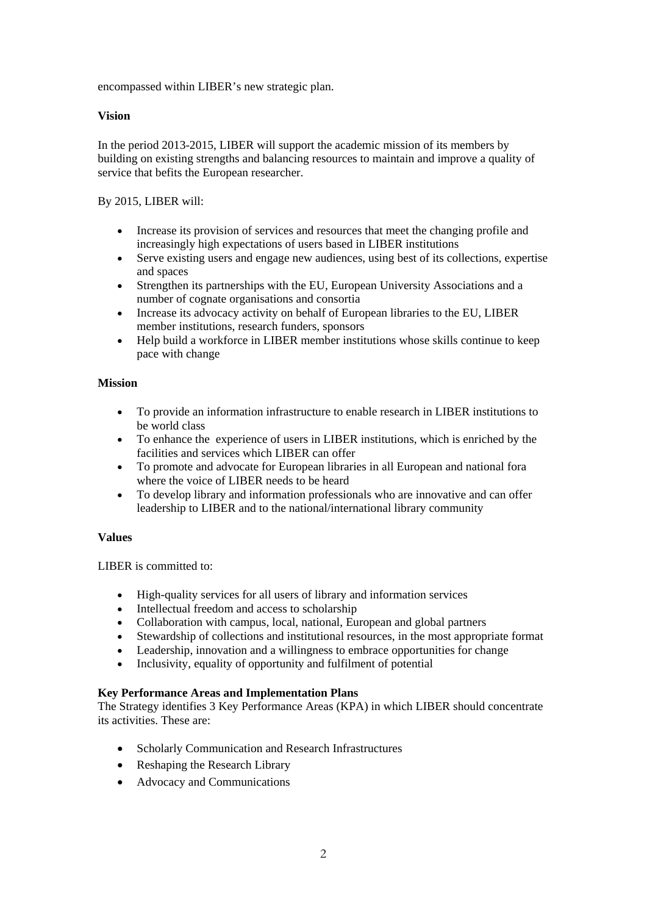encompassed within LIBER's new strategic plan.

### **Vision**

In the period 2013-2015, LIBER will support the academic mission of its members by building on existing strengths and balancing resources to maintain and improve a quality of service that befits the European researcher.

### By 2015, LIBER will:

- Increase its provision of services and resources that meet the changing profile and increasingly high expectations of users based in LIBER institutions
- Serve existing users and engage new audiences, using best of its collections, expertise and spaces
- Strengthen its partnerships with the EU, European University Associations and a number of cognate organisations and consortia
- Increase its advocacy activity on behalf of European libraries to the EU, LIBER member institutions, research funders, sponsors
- Help build a workforce in LIBER member institutions whose skills continue to keep pace with change

### **Mission**

- To provide an information infrastructure to enable research in LIBER institutions to be world class
- To enhance the experience of users in LIBER institutions, which is enriched by the facilities and services which LIBER can offer
- To promote and advocate for European libraries in all European and national fora where the voice of LIBER needs to be heard
- To develop library and information professionals who are innovative and can offer leadership to LIBER and to the national/international library community

### **Values**

LIBER is committed to:

- High-quality services for all users of library and information services
- Intellectual freedom and access to scholarship
- Collaboration with campus, local, national, European and global partners
- Stewardship of collections and institutional resources, in the most appropriate format
- Leadership, innovation and a willingness to embrace opportunities for change
- Inclusivity, equality of opportunity and fulfilment of potential

### **Key Performance Areas and Implementation Plans**

The Strategy identifies 3 Key Performance Areas (KPA) in which LIBER should concentrate its activities. These are:

- Scholarly Communication and Research Infrastructures
- Reshaping the Research Library
- Advocacy and Communications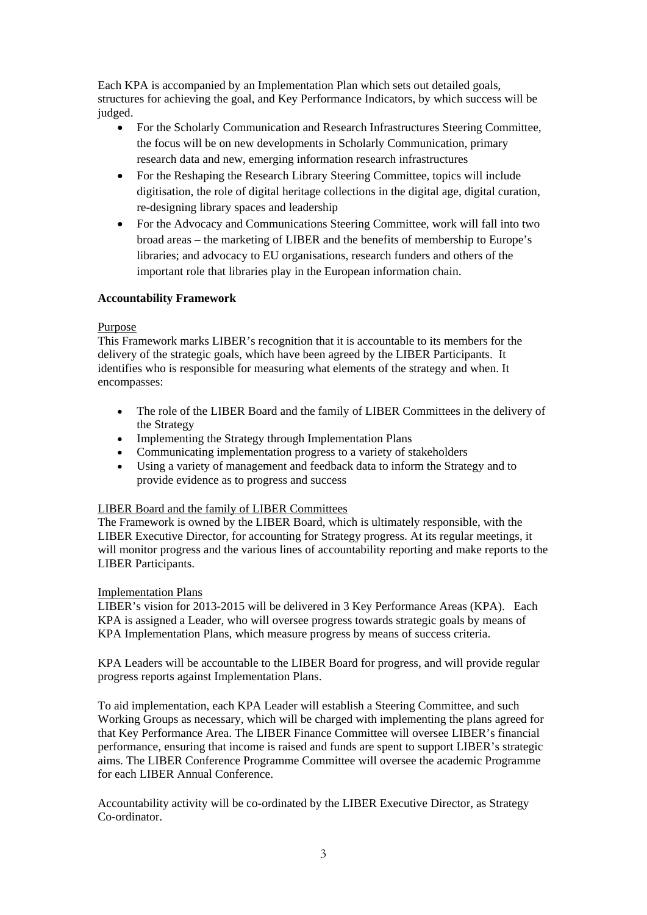Each KPA is accompanied by an Implementation Plan which sets out detailed goals, structures for achieving the goal, and Key Performance Indicators, by which success will be judged.

- For the Scholarly Communication and Research Infrastructures Steering Committee, the focus will be on new developments in Scholarly Communication, primary research data and new, emerging information research infrastructures
- For the Reshaping the Research Library Steering Committee, topics will include digitisation, the role of digital heritage collections in the digital age, digital curation, re-designing library spaces and leadership
- For the Advocacy and Communications Steering Committee, work will fall into two broad areas – the marketing of LIBER and the benefits of membership to Europe's libraries; and advocacy to EU organisations, research funders and others of the important role that libraries play in the European information chain.

### **Accountability Framework**

### Purpose

This Framework marks LIBER's recognition that it is accountable to its members for the delivery of the strategic goals, which have been agreed by the LIBER Participants. It identifies who is responsible for measuring what elements of the strategy and when. It encompasses:

- The role of the LIBER Board and the family of LIBER Committees in the delivery of the Strategy
- Implementing the Strategy through Implementation Plans
- Communicating implementation progress to a variety of stakeholders
- Using a variety of management and feedback data to inform the Strategy and to provide evidence as to progress and success

## LIBER Board and the family of LIBER Committees

The Framework is owned by the LIBER Board, which is ultimately responsible, with the LIBER Executive Director, for accounting for Strategy progress. At its regular meetings, it will monitor progress and the various lines of accountability reporting and make reports to the LIBER Participants.

### Implementation Plans

LIBER's vision for 2013-2015 will be delivered in 3 Key Performance Areas (KPA). Each KPA is assigned a Leader, who will oversee progress towards strategic goals by means of KPA Implementation Plans, which measure progress by means of success criteria.

KPA Leaders will be accountable to the LIBER Board for progress, and will provide regular progress reports against Implementation Plans.

To aid implementation, each KPA Leader will establish a Steering Committee, and such Working Groups as necessary, which will be charged with implementing the plans agreed for that Key Performance Area. The LIBER Finance Committee will oversee LIBER's financial performance, ensuring that income is raised and funds are spent to support LIBER's strategic aims. The LIBER Conference Programme Committee will oversee the academic Programme for each LIBER Annual Conference.

Accountability activity will be co-ordinated by the LIBER Executive Director, as Strategy Co-ordinator.